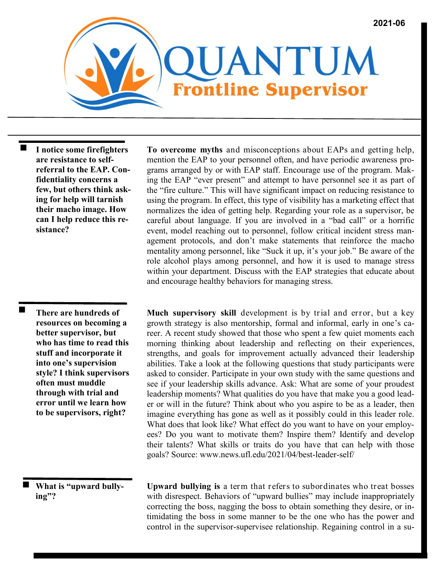

 $\blacksquare$ **I notice some firefighters are resistance to selfreferral to the EAP. Confidentiality concerns a few, but others think asking for help will tarnish their macho image. How can I help reduce this resistance?**

> **There are hundreds of resources on becoming a better supervisor, but who has time to read this stuff and incorporate it into one's supervision style? I think supervisors often must muddle through with trial and error until we learn how to be supervisors, right?**

 $\blacksquare$ 

 **What is "upward bullying"?**

**To overcome myths** and misconceptions about EAPs and getting help, mention the EAP to your personnel often, and have periodic awareness programs arranged by or with EAP staff. Encourage use of the program. Making the EAP "ever present" and attempt to have personnel see it as part of the "fire culture." This will have significant impact on reducing resistance to using the program. In effect, this type of visibility has a marketing effect that normalizes the idea of getting help. Regarding your role as a supervisor, be careful about language. If you are involved in a "bad call" or a horrific event, model reaching out to personnel, follow critical incident stress management protocols, and don't make statements that reinforce the macho mentality among personnel, like "Suck it up, it's your job." Be aware of the role alcohol plays among personnel, and how it is used to manage stress within your department. Discuss with the EAP strategies that educate about and encourage healthy behaviors for managing stress.

**Much supervisory skill** development is by trial and error, but a key growth strategy is also mentorship, formal and informal, early in one's career. A recent study showed that those who spent a few quiet moments each morning thinking about leadership and reflecting on their experiences, strengths, and goals for improvement actually advanced their leadership abilities. Take a look at the following questions that study participants were asked to consider. Participate in your own study with the same questions and see if your leadership skills advance. Ask: What are some of your proudest leadership moments? What qualities do you have that make you a good leader or will in the future? Think about who you aspire to be as a leader, then imagine everything has gone as well as it possibly could in this leader role. What does that look like? What effect do you want to have on your employees? Do you want to motivate them? Inspire them? Identify and develop their talents? What skills or traits do you have that can help with those goals? Source: www.news.ufl.edu/2021/04/best-leader-self/

**Upward bullying is** a term that refers to subordinates who treat bosses with disrespect. Behaviors of "upward bullies" may include inappropriately correcting the boss, nagging the boss to obtain something they desire, or intimidating the boss in some manner to be the one who has the power and control in the supervisor-supervisee relationship. Regaining control in a su